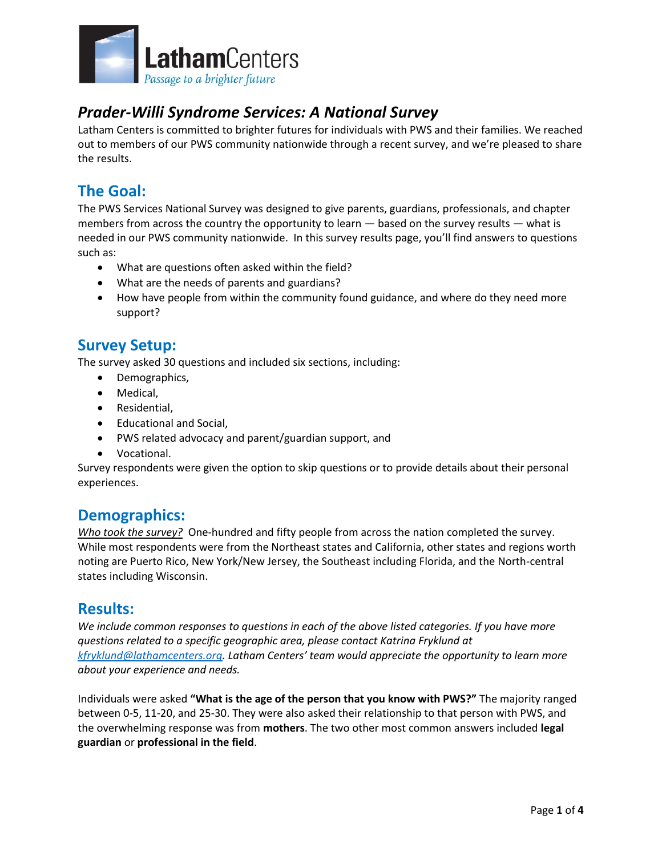

# *Prader-Willi Syndrome Services: A National Survey*

Latham Centers is committed to brighter futures for individuals with PWS and their families. We reached out to members of our PWS community nationwide through a recent survey, and we're pleased to share the results.

# **The Goal:**

The PWS Services National Survey was designed to give parents, guardians, professionals, and chapter members from across the country the opportunity to learn  $-$  based on the survey results  $-$  what is needed in our PWS community nationwide. In this survey results page, you'll find answers to questions such as:

- What are questions often asked within the field?
- What are the needs of parents and guardians?
- How have people from within the community found guidance, and where do they need more support?

# **Survey Setup:**

The survey asked 30 questions and included six sections, including:

- Demographics,
- Medical,
- Residential,
- Educational and Social,
- PWS related advocacy and parent/guardian support, and
- Vocational.

Survey respondents were given the option to skip questions or to provide details about their personal experiences.

## **Demographics:**

*Who took the survey?* One-hundred and fifty people from across the nation completed the survey. While most respondents were from the Northeast states and California, other states and regions worth noting are Puerto Rico, New York/New Jersey, the Southeast including Florida, and the North-central states including Wisconsin.

## **Results:**

*We include common responses to questions in each of the above listed categories. If you have more questions related to a specific geographic area, please contact Katrina Fryklund at [kfryklund@lathamcenters.org.](mailto:kfryklund@lathamcenters.org) Latham Centers' team would appreciate the opportunity to learn more about your experience and needs.* 

Individuals were asked **"What is the age of the person that you know with PWS?"** The majority ranged between 0-5, 11-20, and 25-30. They were also asked their relationship to that person with PWS, and the overwhelming response was from **mothers**. The two other most common answers included **legal guardian** or **professional in the field**.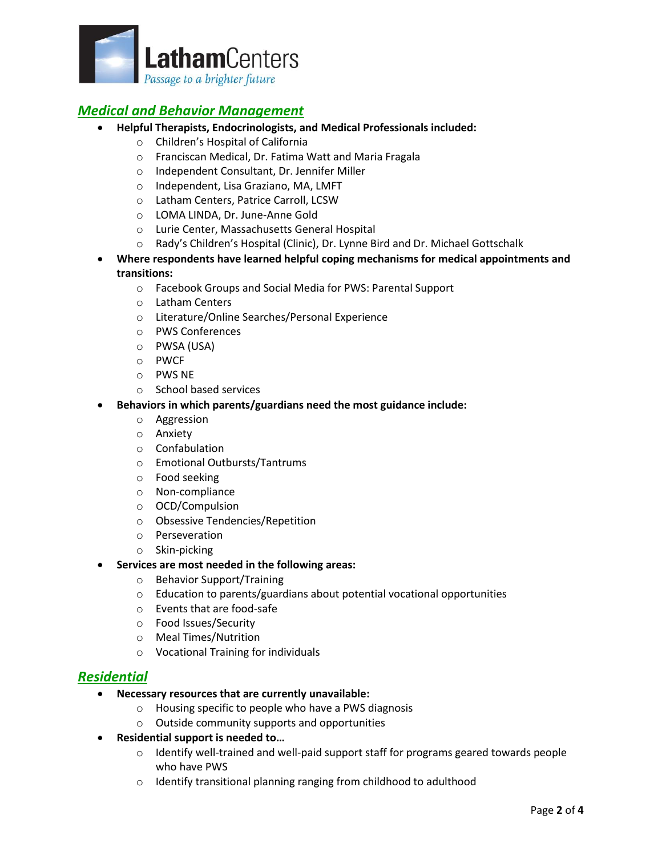

### *Medical and Behavior Management*

- **Helpful Therapists, Endocrinologists, and Medical Professionals included:** 
	- o Children's Hospital of California
	- o Franciscan Medical, Dr. Fatima Watt and Maria Fragala
	- o Independent Consultant, Dr. Jennifer Miller
	- o Independent, Lisa Graziano, MA, LMFT
	- o Latham Centers, Patrice Carroll, LCSW
	- o LOMA LINDA, Dr. June-Anne Gold
	- o Lurie Center, Massachusetts General Hospital
	- o Rady's Children's Hospital (Clinic), Dr. Lynne Bird and Dr. Michael Gottschalk
- **Where respondents have learned helpful coping mechanisms for medical appointments and transitions:**
	- o Facebook Groups and Social Media for PWS: Parental Support
	- o Latham Centers
	- o Literature/Online Searches/Personal Experience
	- o PWS Conferences
	- o PWSA (USA)
	- o PWCF
	- o PWS NE
	- o School based services
- **Behaviors in which parents/guardians need the most guidance include:**
	- o Aggression
	- o Anxiety
	- o Confabulation
	- o Emotional Outbursts/Tantrums
	- o Food seeking
	- o Non-compliance
	- o OCD/Compulsion
	- o Obsessive Tendencies/Repetition
	- o Perseveration
	- o Skin-picking
- **Services are most needed in the following areas:**
	- o Behavior Support/Training
	- o Education to parents/guardians about potential vocational opportunities
	- o Events that are food-safe
	- o Food Issues/Security
	- o Meal Times/Nutrition
	- o Vocational Training for individuals

#### *Residential*

- **Necessary resources that are currently unavailable:**
	- o Housing specific to people who have a PWS diagnosis
	- o Outside community supports and opportunities
- **Residential support is needed to…**
	- $\circ$  Identify well-trained and well-paid support staff for programs geared towards people who have PWS
	- o Identify transitional planning ranging from childhood to adulthood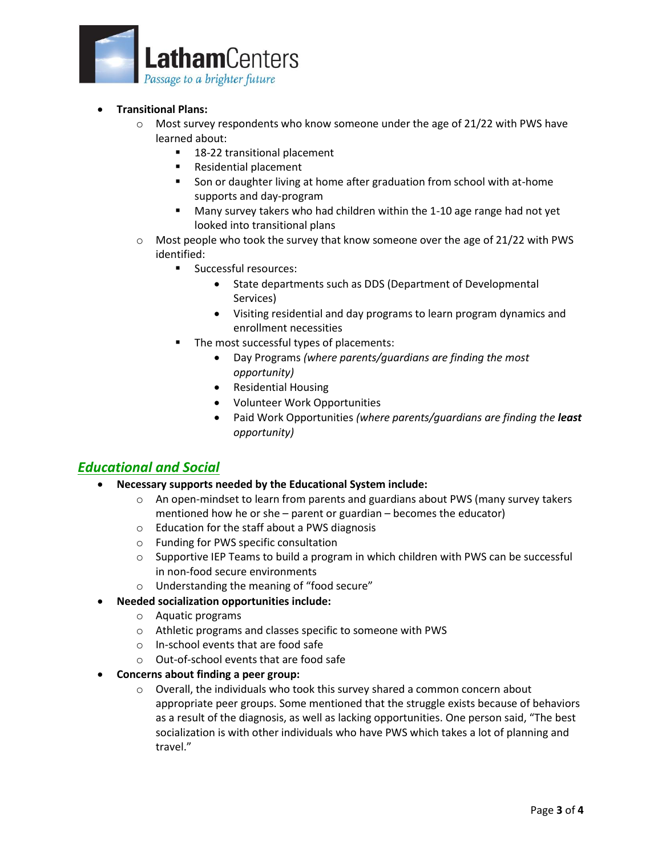

- **Transitional Plans:**
	- $\circ$  Most survey respondents who know someone under the age of 21/22 with PWS have learned about:
		- 18-22 transitional placement
		- Residential placement
		- Son or daughter living at home after graduation from school with at-home supports and day-program
		- Many survey takers who had children within the 1-10 age range had not yet looked into transitional plans
	- $\circ$  Most people who took the survey that know someone over the age of 21/22 with PWS identified:
		- Successful resources:
			- State departments such as DDS (Department of Developmental Services)
			- Visiting residential and day programs to learn program dynamics and enrollment necessities
		- The most successful types of placements:
			- Day Programs *(where parents/guardians are finding the most opportunity)*
			- Residential Housing
			- Volunteer Work Opportunities
			- Paid Work Opportunities *(where parents/guardians are finding the least opportunity)*

#### *Educational and Social*

- **Necessary supports needed by the Educational System include:**
	- $\circ$  An open-mindset to learn from parents and guardians about PWS (many survey takers mentioned how he or she – parent or guardian – becomes the educator)
	- o Education for the staff about a PWS diagnosis
	- o Funding for PWS specific consultation
	- $\circ$  Supportive IEP Teams to build a program in which children with PWS can be successful in non-food secure environments
	- o Understanding the meaning of "food secure"
- **Needed socialization opportunities include:**
	- o Aquatic programs
	- o Athletic programs and classes specific to someone with PWS
	- o In-school events that are food safe
	- o Out-of-school events that are food safe
- **Concerns about finding a peer group:**
	- o Overall, the individuals who took this survey shared a common concern about appropriate peer groups. Some mentioned that the struggle exists because of behaviors as a result of the diagnosis, as well as lacking opportunities. One person said, "The best socialization is with other individuals who have PWS which takes a lot of planning and travel."